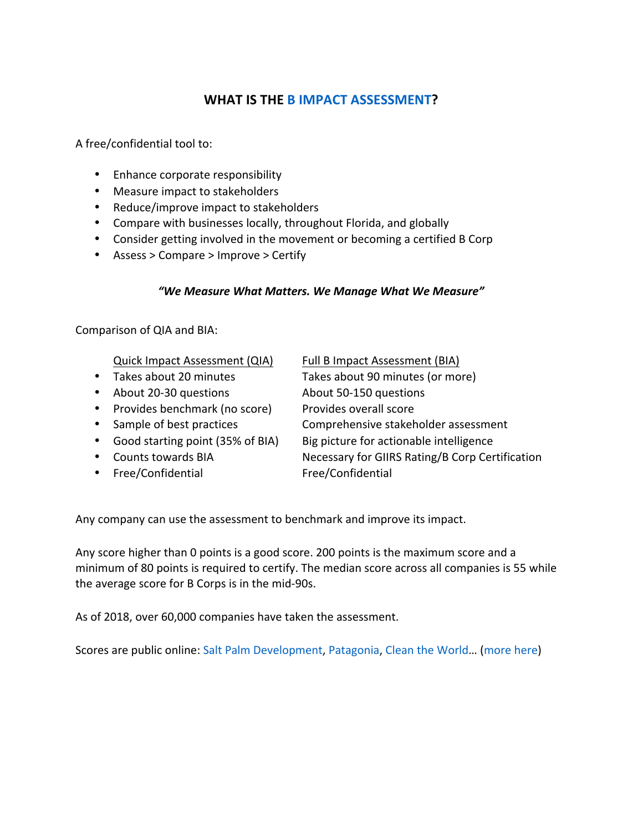## **WHAT IS THE B IMPACT ASSESSMENT?**

A free/confidential tool to:

- Enhance corporate responsibility
- Measure impact to stakeholders
- Reduce/improve impact to stakeholders
- Compare with businesses locally, throughout Florida, and globally
- Consider getting involved in the movement or becoming a certified B Corp
- Assess > Compare > Improve > Certify

## *"We Measure What Matters. We Manage What We Measure"*

Comparison of QIA and BIA:

Quick Impact Assessment (QIA) Full B Impact Assessment (BIA)

- 
- About 20-30 questions About 50-150 questions
- Provides benchmark (no score) Provides overall score
- 
- Good starting point (35% of BIA) Big picture for actionable intelligence
- 
- Free/Confidential Free/Confidential

• Takes about 20 minutes Takes about 90 minutes (or more)

• Sample of best practices Comprehensive stakeholder assessment

• Counts towards BIA Necessary for GIIRS Rating/B Corp Certification

Any company can use the assessment to benchmark and improve its impact.

Any score higher than 0 points is a good score. 200 points is the maximum score and a minimum of 80 points is required to certify. The median score across all companies is 55 while the average score for B Corps is in the mid-90s.

As of 2018, over 60,000 companies have taken the assessment.

Scores are public online: Salt Palm Development, Patagonia, Clean the World... (more here)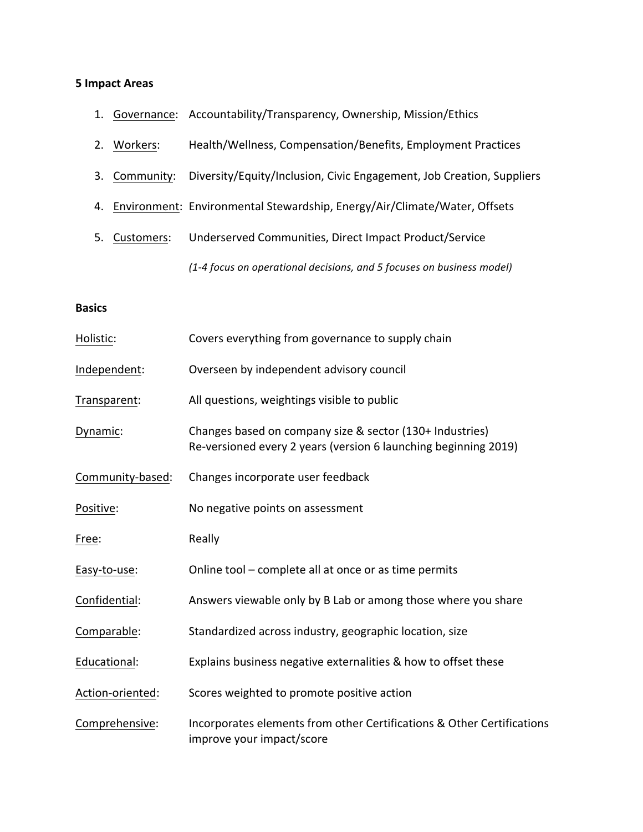## **5 Impact Areas**

- 1. Governance: Accountability/Transparency, Ownership, Mission/Ethics
- 2. Workers: Health/Wellness, Compensation/Benefits, Employment Practices
- 3. Community: Diversity/Equity/Inclusion, Civic Engagement, Job Creation, Suppliers
- 4. Environment: Environmental Stewardship, Energy/Air/Climate/Water, Offsets
- 5. Customers: Underserved Communities, Direct Impact Product/Service *(1-4 focus on operational decisions, and 5 focuses on business model)*

## **Basics**

| Holistic:        | Covers everything from governance to supply chain                                                                           |
|------------------|-----------------------------------------------------------------------------------------------------------------------------|
| Independent:     | Overseen by independent advisory council                                                                                    |
| Transparent:     | All questions, weightings visible to public                                                                                 |
| Dynamic:         | Changes based on company size & sector (130+ Industries)<br>Re-versioned every 2 years (version 6 launching beginning 2019) |
| Community-based: | Changes incorporate user feedback                                                                                           |
| Positive:        | No negative points on assessment                                                                                            |
| Free:            | Really                                                                                                                      |
| Easy-to-use:     | Online tool - complete all at once or as time permits                                                                       |
| Confidential:    | Answers viewable only by B Lab or among those where you share                                                               |
| Comparable:      | Standardized across industry, geographic location, size                                                                     |
| Educational:     | Explains business negative externalities & how to offset these                                                              |
| Action-oriented: | Scores weighted to promote positive action                                                                                  |
| Comprehensive:   | Incorporates elements from other Certifications & Other Certifications<br>improve your impact/score                         |